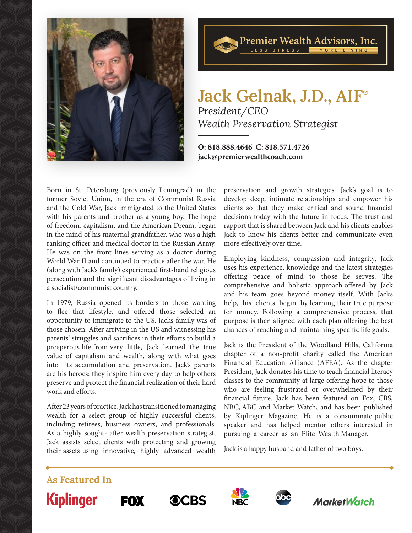



# **Jack Gelnak, J.D., AIF®** *President/CEO Wealth Preservation Strategist*

**O: 818.888.4646 C: 818.571.4726 jack@premierwealthcoach.com**

Born in St. Petersburg (previously Leningrad) in the former Soviet Union, in the era of Communist Russia and the Cold War, Jack immigrated to the United States with his parents and brother as a young boy. The hope of freedom, capitalism, and the American Dream, began in the mind of his maternal grandfather, who was a high ranking officer and medical doctor in the Russian Army. He was on the front lines serving as a doctor during World War II and continued to practice after the war. He (along with Jack's family) experienced first-hand religious persecution and the significant disadvantages of living in a socialist/communist country.

In 1979, Russia opened its borders to those wanting to flee that lifestyle, and offered those selected an opportunity to immigrate to the US. Jacks family was of those chosen. After arriving in the US and witnessing his parents' struggles and sacrifices in their efforts to build a prosperous life from very little, Jack learned the true value of capitalism and wealth, along with what goes into its accumulation and preservation. Jack's parents are his heroes: they inspire him every day to help others preserve and protect the financial realization of their hard work and efforts.

After 23 years of practice, Jack has transitioned to managing wealth for a select group of highly successful clients, including retirees, business owners, and professionals. As a highly sought- after wealth preservation strategist, Jack assists select clients with protecting and growing their assets using innovative, highly advanced wealth preservation and growth strategies. Jack's goal is to develop deep, intimate relationships and empower his clients so that they make critical and sound financial decisions today with the future in focus. The trust and rapport that is shared between Jack and his clients enables Jack to know his clients better and communicate even more effectively over time.

Employing kindness, compassion and integrity, Jack uses his experience, knowledge and the latest strategies offering peace of mind to those he serves. The comprehensive and holistic approach offered by Jack and his team goes beyond money itself. With Jacks help, his clients begin by learning their true purpose for money. Following a comprehensive process, that purpose is then aligned with each plan offering the best chances of reaching and maintaining specific life goals.

Jack is the President of the Woodland Hills, California chapter of a non-profit charity called the American Financial Education Alliance (AFEA). As the chapter President, Jack donates his time to teach financial literacy classes to the community at large offering hope to those who are feeling frustrated or overwhelmed by their financial future. Jack has been featured on Fox, CBS, NBC, ABC and Market Watch, and has been published by Kiplinger Magazine. He is a consummate public speaker and has helped mentor others interested in pursuing a career as an Elite Wealth Manager.

Jack is a happy husband and father of two boys.

**As Featured In Kiplinger**